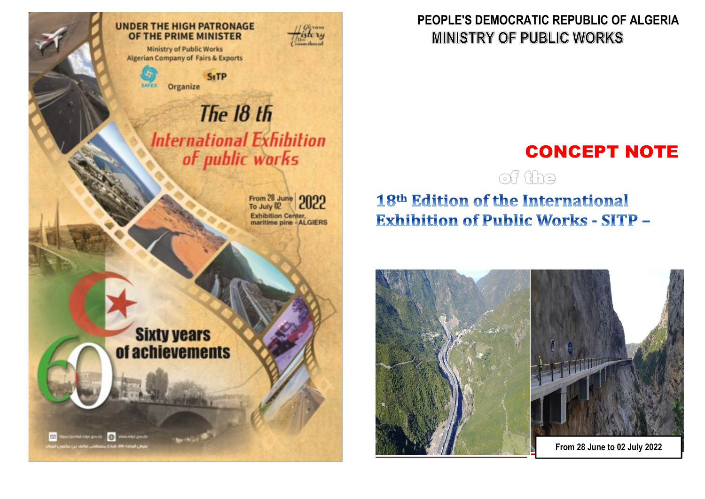**Ministry of Public Works Algerian Company of Fairs & Exports** 

**UNDER THE HIGH PATRONAGE** 

OF THE PRIME MINISTER

**SiTP** Organize **SAFET** 

# The 18 th **International Exhibition** of public works

From 28 June 2022 Exhibition Center,<br>maritime pine - ALGIERS

History

# **Sixty years** of achievements

C2 Hostportal rigic predzi (1) www.intr.pmdz منوفى الوزادة الأزالة بشكراز برصطكي كالقرادين عكما

### PEOPLE'S DEMOCRATIC REPUBLIC OF ALGERIA **MINISTRY OF PUBLIC WORKS**

# **CONCEPT NOTE**

of the

# 18th Edition of the International **Exhibition of Public Works - SITP -**